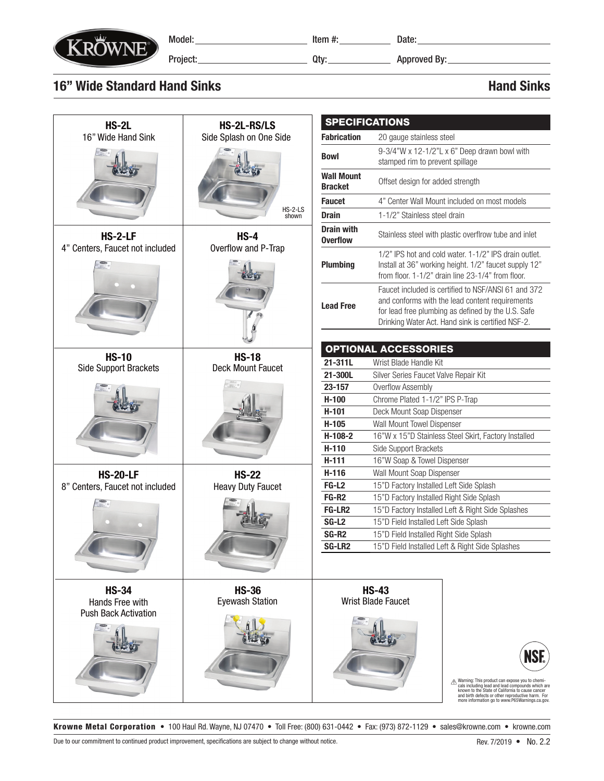

Model:\_\_\_\_\_\_\_\_\_\_\_\_\_\_\_\_\_\_\_\_\_\_\_\_\_\_\_\_ttem #:\_\_\_\_\_\_\_\_\_\_\_\_\_\_\_\_ Date:

Project: Qty: Approved By:

## 16" Wide Standard Hand Sinks **Hand Sinks** Hand Sinks Hand Sinks

|                                                                |                                             | <b>SPECIFICATIONS</b>                     |                                                                                                                                                                                                                   |                                                                                                                                                                                                                                                                           |
|----------------------------------------------------------------|---------------------------------------------|-------------------------------------------|-------------------------------------------------------------------------------------------------------------------------------------------------------------------------------------------------------------------|---------------------------------------------------------------------------------------------------------------------------------------------------------------------------------------------------------------------------------------------------------------------------|
| <b>HS-2L</b>                                                   | HS-2L-RS/LS                                 |                                           | <b>Fabrication</b>                                                                                                                                                                                                |                                                                                                                                                                                                                                                                           |
| 16" Wide Hand Sink                                             | Side Splash on One Side<br>HS-2-LS<br>shown |                                           | 20 gauge stainless steel                                                                                                                                                                                          |                                                                                                                                                                                                                                                                           |
|                                                                |                                             | <b>Bowl</b>                               | 9-3/4"W x 12-1/2"L x 6" Deep drawn bowl with<br>stamped rim to prevent spillage                                                                                                                                   |                                                                                                                                                                                                                                                                           |
|                                                                |                                             | <b>Wall Mount</b><br><b>Bracket</b>       | Offset design for added strength                                                                                                                                                                                  |                                                                                                                                                                                                                                                                           |
|                                                                |                                             | <b>Faucet</b>                             | 4" Center Wall Mount included on most models                                                                                                                                                                      |                                                                                                                                                                                                                                                                           |
|                                                                |                                             | <b>Drain</b>                              | 1-1/2" Stainless steel drain                                                                                                                                                                                      |                                                                                                                                                                                                                                                                           |
| HS-2-LF                                                        | $HS-4$                                      | <b>Drain with</b><br><b>Overflow</b>      |                                                                                                                                                                                                                   | Stainless steel with plastic overflrow tube and inlet                                                                                                                                                                                                                     |
| 4" Centers, Faucet not included                                | Overflow and P-Trap                         | <b>Plumbing</b>                           | 1/2" IPS hot and cold water, 1-1/2" IPS drain outlet.<br>Install at 36" working height. 1/2" faucet supply 12"<br>from floor. 1-1/2" drain line 23-1/4" from floor.                                               |                                                                                                                                                                                                                                                                           |
|                                                                |                                             | <b>Lead Free</b>                          | Faucet included is certified to NSF/ANSI 61 and 372<br>and conforms with the lead content requirements<br>for lead free plumbing as defined by the U.S. Safe<br>Drinking Water Act. Hand sink is certified NSF-2. |                                                                                                                                                                                                                                                                           |
|                                                                |                                             |                                           |                                                                                                                                                                                                                   |                                                                                                                                                                                                                                                                           |
|                                                                |                                             | <b>OPTIONAL ACCESSORIES</b>               |                                                                                                                                                                                                                   |                                                                                                                                                                                                                                                                           |
| <b>HS-10</b><br><b>Side Support Brackets</b>                   | <b>HS-18</b><br><b>Deck Mount Faucet</b>    | 21-311L                                   | Wrist Blade Handle Kit                                                                                                                                                                                            |                                                                                                                                                                                                                                                                           |
|                                                                |                                             | 21-300L                                   | Silver Series Faucet Valve Repair Kit                                                                                                                                                                             |                                                                                                                                                                                                                                                                           |
|                                                                |                                             | 23-157                                    | Overflow Assembly                                                                                                                                                                                                 |                                                                                                                                                                                                                                                                           |
|                                                                |                                             | $H-100$                                   | Chrome Plated 1-1/2" IPS P-Trap                                                                                                                                                                                   |                                                                                                                                                                                                                                                                           |
|                                                                |                                             | $H-101$                                   | Deck Mount Soap Dispenser                                                                                                                                                                                         |                                                                                                                                                                                                                                                                           |
|                                                                |                                             | $H-105$                                   | Wall Mount Towel Dispenser                                                                                                                                                                                        |                                                                                                                                                                                                                                                                           |
|                                                                |                                             | $H-108-2$                                 | 16"W x 15"D Stainless Steel Skirt, Factory Installed                                                                                                                                                              |                                                                                                                                                                                                                                                                           |
|                                                                |                                             | $H-110$                                   | Side Support Brackets                                                                                                                                                                                             |                                                                                                                                                                                                                                                                           |
|                                                                |                                             | $H-111$                                   | 16"W Soap & Towel Dispenser                                                                                                                                                                                       |                                                                                                                                                                                                                                                                           |
| <b>HS-20-LF</b>                                                | <b>HS-22</b>                                | $H-116$                                   | Wall Mount Soap Dispenser                                                                                                                                                                                         |                                                                                                                                                                                                                                                                           |
| 8" Centers, Faucet not included                                | <b>Heavy Duty Faucet</b>                    | FG-L <sub>2</sub>                         | 15"D Factory Installed Left Side Splash                                                                                                                                                                           |                                                                                                                                                                                                                                                                           |
|                                                                |                                             | FG-R <sub>2</sub>                         | 15"D Factory Installed Right Side Splash                                                                                                                                                                          |                                                                                                                                                                                                                                                                           |
|                                                                |                                             | <b>FG-LR2</b>                             |                                                                                                                                                                                                                   | 15"D Factory Installed Left & Right Side Splashes                                                                                                                                                                                                                         |
|                                                                |                                             | <b>SG-L2</b>                              | 15"D Field Installed Left Side Splash                                                                                                                                                                             |                                                                                                                                                                                                                                                                           |
|                                                                |                                             | SG-R <sub>2</sub>                         | 15"D Field Installed Right Side Splash                                                                                                                                                                            |                                                                                                                                                                                                                                                                           |
|                                                                |                                             | SG-LR2                                    |                                                                                                                                                                                                                   | 15"D Field Installed Left & Right Side Splashes                                                                                                                                                                                                                           |
|                                                                |                                             |                                           |                                                                                                                                                                                                                   |                                                                                                                                                                                                                                                                           |
| <b>HS-34</b><br>Hands Free with<br><b>Push Back Activation</b> | <b>HS-36</b><br><b>Eyewash Station</b>      | <b>HS-43</b><br><b>Wrist Blade Faucet</b> |                                                                                                                                                                                                                   |                                                                                                                                                                                                                                                                           |
|                                                                |                                             |                                           |                                                                                                                                                                                                                   | <b>NSF.</b><br>A Warning: This product can expose you to chemicals including lead and lead compounds which are<br>known to the State of California to cause cancer<br>and birth defects or other reproductive harm. For<br>more information go to www.P65Warnings.ca.gov. |

Krowne Metal Corporation • 100 Haul Rd. Wayne, NJ 07470 • Toll Free: (800) 631-0442 • Fax: (973) 872-1129 • sales@krowne.com • krowne.com